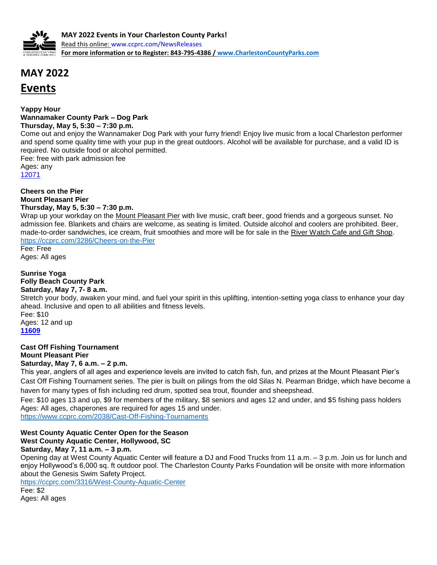

# **MAY 2022 Events**

**Yappy Hour Wannamaker County Park – Dog Park Thursday, May 5, 5:30 – 7:30 p.m.**

Come out and enjoy the Wannamaker Dog Park with your furry friend! Enjoy live music from a local Charleston performer and spend some quality time with your pup in the great outdoors. Alcohol will be available for purchase, and a valid ID is required. No outside food or alcohol permitted.

Fee: free with park admission fee Ages: any [12071](http://anprod.active.com/charlestoncountyparks/registrationmain.sdi?source=adet.sdi&activity_id=7043)

**Cheers on the Pier Mount Pleasant Pier Thursday, May 5, 5:30 – 7:30 p.m.**

Wrap up your workday on the [Mount Pleasant Pier](https://ccprc.com/1171/Mount-Pleasant-Pier) with live music, craft beer, good friends and a gorgeous sunset. No admission fee. Blankets and chairs are welcome, as seating is limited. Outside alcohol and coolers are prohibited. Beer, made-to-order sandwiches, ice cream, fruit smoothies and more will be for sale in the [River Watch Cafe and Gift Shop.](https://ccprc.com/1213/River-Watch-Caf-Menu) <https://ccprc.com/3286/Cheers-on-the-Pier>

Fee: Free Ages: All ages

**Sunrise Yoga Folly Beach County Park Saturday, May 7, 7- 8 a.m.**

Stretch your body, awaken your mind, and fuel your spirit in this uplifting, intention-setting yoga class to enhance your day ahead. Inclusive and open to all abilities and fitness levels.

Fee: \$10 Ages: 12 and up **[11609](http://anprod.active.com/charlestoncountyparks/registrationmain.sdi?source=adet.sdi&activity_id=6583)**

**Cast Off Fishing Tournament Mount Pleasant Pier Saturday, May 7, 6 a.m. – 2 p.m.**

This year, anglers of all ages and experience levels are invited to catch fish, fun, and prizes at the Mount Pleasant Pier's Cast Off Fishing Tournament series. The pier is built on pilings from the old Silas N. Pearman Bridge, which have become a haven for many types of fish including red drum, spotted sea trout, flounder and sheepshead.

Fee: \$10 ages 13 and up, \$9 for members of the military, \$8 seniors and ages 12 and under, and \$5 fishing pass holders Ages: All ages, chaperones are required for ages 15 and under.

<https://www.ccprc.com/2038/Cast-Off-Fishing-Tournaments>

# **West County Aquatic Center Open for the Season West County Aquatic Center, Hollywood, SC**

**Saturday, May 7, 11 a.m. – 3 p.m.**

Opening day at West County Aquatic Center will feature a DJ and Food Trucks from 11 a.m. – 3 p.m. Join us for lunch and enjoy Hollywood's 6,000 sq. ft outdoor pool. The Charleston County Parks Foundation will be onsite with more information about the Genesis Swim Safety Project.

<https://ccprc.com/3316/West-County-Aquatic-Center> Fee: \$2 Ages: All ages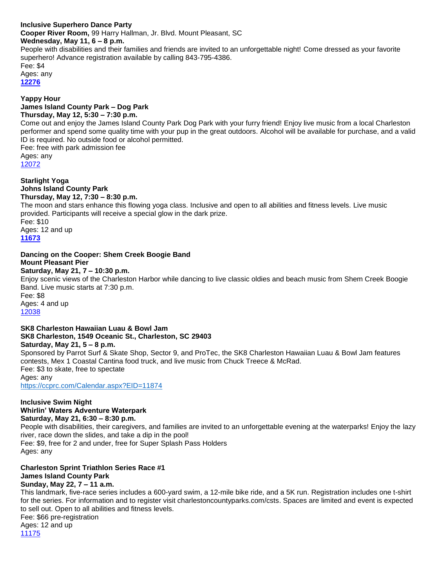#### **Inclusive Superhero Dance Party Cooper River Room,** 99 Harry Hallman, Jr. Blvd. Mount Pleasant, SC **Wednesday, May 11, 6 – 8 p.m.**  People with disabilities and their families and friends are invited to an unforgettable night! Come dressed as your favorite superhero! Advance registration available by calling 843-795-4386.

Fee: \$4 Ages: any

**[12276](http://anprod.active.com/charlestoncountyparks/registrationmain.sdi?source=adet.sdi&activity_id=7248)**

#### **Yappy Hour James Island County Park – Dog Park Thursday, May 12, 5:30 – 7:30 p.m.**

Come out and enjoy the James Island County Park Dog Park with your furry friend! Enjoy live music from a local Charleston performer and spend some quality time with your pup in the great outdoors. Alcohol will be available for purchase, and a valid ID is required. No outside food or alcohol permitted.

Fee: free with park admission fee Ages: any [12072](http://anprod.active.com/charlestoncountyparks/registrationmain.sdi?source=adet.sdi&activity_id=7044)

**Starlight Yoga Johns Island County Park Thursday, May 12, 7:30 – 8:30 p.m.** The moon and stars enhance this flowing yoga class. Inclusive and open to all abilities and fitness levels. Live music provided. Participants will receive a special glow in the dark prize. Fee: \$10 Ages: 12 and up **[11673](http://anprod.active.com/charlestoncountyparks/registrationmain.sdi?source=adet.sdi&activity_id=6647)**

#### **Dancing on the Cooper: Shem Creek Boogie Band Mount Pleasant Pier**

## **Saturday, May 21, 7 – 10:30 p.m.**

Enjoy scenic views of the Charleston Harbor while dancing to live classic oldies and beach music from Shem Creek Boogie Band. Live music starts at 7:30 p.m. Fee: \$8 Ages: 4 and up [12038](http://anprod.active.com/charlestoncountyparks/registrationmain.sdi?source=adet.sdi&activity_id=7010)

### **SK8 Charleston Hawaiian Luau & Bowl Jam SK8 Charleston, 1549 Oceanic St., Charleston, SC 29403 Saturday, May 21, 5 – 8 p.m.**

Sponsored by Parrot Surf & Skate Shop, Sector 9, and ProTec, the SK8 Charleston Hawaiian Luau & Bowl Jam features contests, Mex 1 Coastal Cantina food truck, and live music from Chuck Treece & McRad. Fee: \$3 to skate, free to spectate Ages: any <https://ccprc.com/Calendar.aspx?EID=11874>

## **Inclusive Swim Night Whirlin' Waters Adventure Waterpark**

**Saturday, May 21, 6:30 – 8:30 p.m.** People with disabilities, their caregivers, and families are invited to an unforgettable evening at the waterparks! Enjoy the lazy river, race down the slides, and take a dip in the pool! Fee: \$9, free for 2 and under, free for Super Splash Pass Holders Ages: any

## **Charleston Sprint Triathlon Series Race #1 James Island County Park**

# **Sunday, May 22, 7 – 11 a.m.**

This landmark, five-race series includes a 600-yard swim, a 12-mile bike ride, and a 5K run. Registration includes one t-shirt for the series. For information and to register visit charlestoncountyparks.com/csts. Spaces are limited and event is expected to sell out. Open to all abilities and fitness levels. Fee: \$66 pre-registration Ages: 12 and up [11175](http://anprod.active.com/charlestoncountyparks/registrationmain.sdi?source=adet.sdi&activity_id=6149)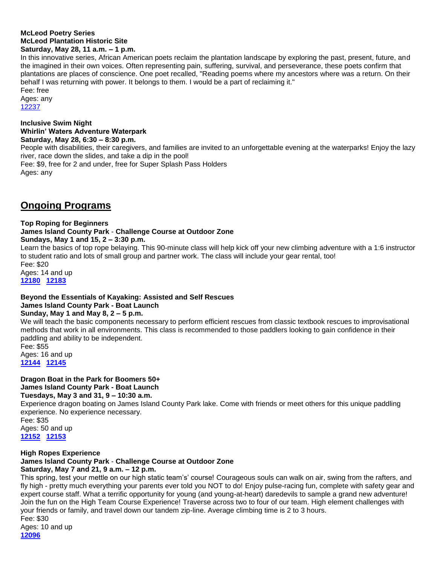#### **McLeod Poetry Series McLeod Plantation Historic Site Saturday, May 28, 11 a.m. – 1 p.m.**

In this innovative series, African American poets reclaim the plantation landscape by exploring the past, present, future, and the imagined in their own voices. Often representing pain, suffering, survival, and perseverance, these poets confirm that plantations are places of conscience. One poet recalled, "Reading poems where my ancestors where was a return. On their behalf I was returning with power. It belongs to them. I would be a part of reclaiming it." Fee: free

Ages: any [12237](http://anprod.active.com/charlestoncountyparks/registrationmain.sdi?source=adet.sdi&activity_id=7209)

#### **Inclusive Swim Night Whirlin' Waters Adventure Waterpark Saturday, May 28, 6:30 – 8:30 p.m.**

People with disabilities, their caregivers, and families are invited to an unforgettable evening at the waterparks! Enjoy the lazy river, race down the slides, and take a dip in the pool! Fee: \$9, free for 2 and under, free for Super Splash Pass Holders Ages: any

# **Ongoing Programs**

#### **Top Roping for Beginners James Island County Park** - **Challenge Course at Outdoor Zone**

**Sundays, May 1 and 15, 2 – 3:30 p.m.** 

Learn the basics of top rope belaying. This 90-minute class will help kick off your new climbing adventure with a 1:6 instructor to student ratio and lots of small group and partner work. The class will include your gear rental, too!

Fee: \$20 Ages: 14 and up **[12180](http://anprod.active.com/charlestoncountyparks/registrationmain.sdi?source=adet.sdi&activity_id=7152) [12183](http://anprod.active.com/charlestoncountyparks/registrationmain.sdi?source=adet.sdi&activity_id=7155)**

# **Beyond the Essentials of Kayaking: Assisted and Self Rescues James Island County Park - Boat Launch**

# **Sunday, May 1 and May 8, 2 – 5 p.m.**

We will teach the basic components necessary to perform efficient rescues from classic textbook rescues to improvisational methods that work in all environments. This class is recommended to those paddlers looking to gain confidence in their paddling and ability to be independent.

Fee: \$55 Ages: 16 and up **[12144](http://anprod.active.com/charlestoncountyparks/registrationmain.sdi?source=adet.sdi&activity_id=7116) [12145](http://anprod.active.com/charlestoncountyparks/registrationmain.sdi?source=adet.sdi&activity_id=7117)**

# **Dragon Boat in the Park for Boomers 50+ James Island County Park - Boat Launch**

## **Tuesdays, May 3 and 31, 9 – 10:30 a.m.**

Experience dragon boating on James Island County Park lake. Come with friends or meet others for this unique paddling experience. No experience necessary.

Fee: \$35 Ages: 50 and up **[12152](http://anprod.active.com/charlestoncountyparks/registrationmain.sdi?source=adet.sdi&activity_id=7124) [12153](http://anprod.active.com/charlestoncountyparks/registrationmain.sdi?source=adet.sdi&activity_id=7125)**

## **High Ropes Experience**

# **James Island County Park** - **Challenge Course at Outdoor Zone**

**Saturday, May 7 and 21, 9 a.m. – 12 p.m.**

This spring, test your mettle on our high static team's' course! Courageous souls can walk on air, swing from the rafters, and fly high - pretty much everything your parents ever told you NOT to do! Enjoy pulse-racing fun, complete with safety gear and expert course staff. What a terrific opportunity for young (and young-at-heart) daredevils to sample a grand new adventure! Join the fun on the High Team Course Experience! Traverse across two to four of our team. High element challenges with your friends or family, and travel down our tandem zip-line. Average climbing time is 2 to 3 hours. Fee: \$30 Ages: 10 and up

**[12096](http://anprod.active.com/charlestoncountyparks/registrationmain.sdi?source=adet.sdi&activity_id=7068)**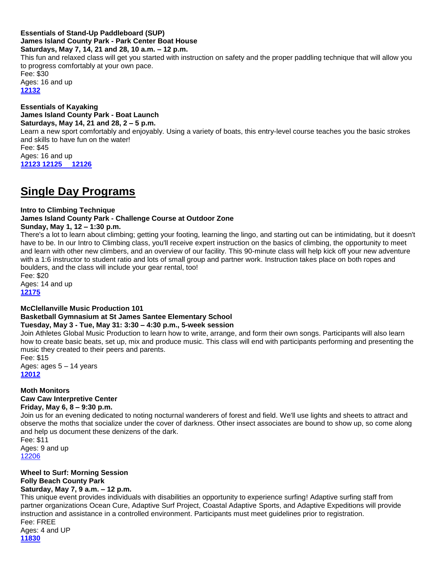#### **Essentials of Stand-Up Paddleboard (SUP) James Island County Park - Park Center Boat House Saturdays, May 7, 14, 21 and 28, 10 a.m. – 12 p.m.**

This fun and relaxed class will get you started with instruction on safety and the proper paddling technique that will allow you to progress comfortably at your own pace. Fee: \$30 Ages: 16 and up **[12132](https://anc.apm.activecommunities.com/charlestoncountyparks/activity/search?activity_select_param=2&activity_keyword=Essentials%20of%20Stand%20Up%20Paddleboard%20%28SUP%29&viewMode=list)**

**Essentials of Kayaking James Island County Park - Boat Launch Saturdays, May 14, 21 and 28, 2 – 5 p.m.**  Learn a new sport comfortably and enjoyably. Using a variety of boats, this entry-level course teaches you the basic strokes and skills to have fun on the water! Fee: \$45 Ages: 16 and up **[12123](https://anc.apm.activecommunities.com/charlestoncountyparks/activity/search?activity_select_param=2&activity_keyword=Essentials%20of%20Kayaking&viewMode=list) [12125](http://anprod.active.com/charlestoncountyparks/registrationmain.sdi?source=adet.sdi&activity_id=7097) [12126](http://anprod.active.com/charlestoncountyparks/registrationmain.sdi?source=adet.sdi&activity_id=7098)**

# **Single Day Programs**

## **Intro to Climbing Technique**

## **James Island County Park - Challenge Course at Outdoor Zone**

### **Sunday, May 1, 12 – 1:30 p.m.**

There's a lot to learn about climbing; getting your footing, learning the lingo, and starting out can be intimidating, but it doesn't have to be. In our Intro to Climbing class, you'll receive expert instruction on the basics of climbing, the opportunity to meet and learn with other new climbers, and an overview of our facility. This 90-minute class will help kick off your new adventure with a 1:6 instructor to student ratio and lots of small group and partner work. Instruction takes place on both ropes and boulders, and the class will include your gear rental, too!

Fee: \$20

Ages: 14 and up **[12175](http://anprod.active.com/charlestoncountyparks/registrationmain.sdi?source=adet.sdi&activity_id=7147)**

## **McClellanville Music Production 101**

# **Basketball Gymnasium at St James Santee Elementary School**

### **Tuesday, May 3 - Tue, May 31: 3:30 – 4:30 p.m., 5-week session**

Join Athletes Global Music Production to learn how to write, arrange, and form their own songs. Participants will also learn how to create basic beats, set up, mix and produce music. This class will end with participants performing and presenting the music they created to their peers and parents.

Fee: \$15 Ages: ages 5 – 14 years **12012**

#### **Moth Monitors Caw Caw Interpretive Center Friday, May 6, 8 – 9:30 p.m.**

Join us for an evening dedicated to noting nocturnal wanderers of forest and field. We'll use lights and sheets to attract and observe the moths that socialize under the cover of darkness. Other insect associates are bound to show up, so come along and help us document these denizens of the dark.

Fee: \$11 Ages: 9 and up [12206](http://anprod.active.com/charlestoncountyparks/registrationmain.sdi?source=adet.sdi&activity_id=7178)

# **Wheel to Surf: Morning Session Folly Beach County Park**

# **Saturday, May 7, 9 a.m. – 12 p.m.**

This unique event provides individuals with disabilities an opportunity to experience surfing! Adaptive surfing staff from partner organizations Ocean Cure, Adaptive Surf Project, Coastal Adaptive Sports, and Adaptive Expeditions will provide instruction and assistance in a controlled environment. Participants must meet guidelines prior to registration. Fee: FREE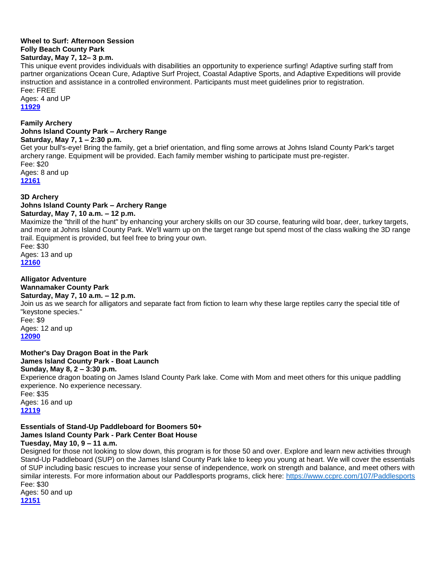#### **Wheel to Surf: Afternoon Session Folly Beach County Park Saturday, May 7, 12– 3 p.m.**

This unique event provides individuals with disabilities an opportunity to experience surfing! Adaptive surfing staff from partner organizations Ocean Cure, Adaptive Surf Project, Coastal Adaptive Sports, and Adaptive Expeditions will provide instruction and assistance in a controlled environment. Participants must meet guidelines prior to registration. Fee: FREE

Ages: 4 and UP **11929**

#### **Family Archery Johns Island County Park – Archery Range Saturday, May 7, 1 – 2:30 p.m.**

Get your bull's-eye! Bring the family, get a brief orientation, and fling some arrows at Johns Island County Park's target archery range. Equipment will be provided. Each family member wishing to participate must pre-register. Fee: \$20

Ages: 8 and up

**[12161](http://anprod.active.com/charlestoncountyparks/registrationmain.sdi?source=adet.sdi&activity_id=7133)**

## **3D Archery**

# **Johns Island County Park – Archery Range**

**Saturday, May 7, 10 a.m. – 12 p.m.** 

Maximize the "thrill of the hunt" by enhancing your archery skills on our 3D course, featuring wild boar, deer, turkey targets, and more at Johns Island County Park. We'll warm up on the target range but spend most of the class walking the 3D range trail. Equipment is provided, but feel free to bring your own.

Fee: \$30 Ages: 13 and up **[12160](http://anprod.active.com/charlestoncountyparks/registrationmain.sdi?source=adet.sdi&activity_id=7132)**

**Alligator Adventure**

# **Wannamaker County Park**

## **Saturday, May 7, 10 a.m. – 12 p.m.**

Join us as we search for alligators and separate fact from fiction to learn why these large reptiles carry the special title of "keystone species."

Fee: \$9 Ages: 12 and up **[12090](http://anprod.active.com/charlestoncountyparks/registrationmain.sdi?source=adet.sdi&activity_id=7062)**

# **Mother's Day Dragon Boat in the Park**

# **James Island County Park - Boat Launch**

**Sunday, May 8, 2 – 3:30 p.m.**  Experience dragon boating on James Island County Park lake. Come with Mom and meet others for this unique paddling experience. No experience necessary. Fee: \$35 Ages: 16 and up **[12119](http://anprod.active.com/charlestoncountyparks/registrationmain.sdi?source=adet.sdi&activity_id=7091)**

#### **Essentials of Stand-Up Paddleboard for Boomers 50+ James Island County Park - Park Center Boat House Tuesday, May 10, 9 – 11 a.m.**

Designed for those not looking to slow down, this program is for those 50 and over. Explore and learn new activities through Stand-Up Paddleboard (SUP) on the James Island County Park lake to keep you young at heart. We will cover the essentials of SUP including basic rescues to increase your sense of independence, work on strength and balance, and meet others with similar interests. For more information about our Paddlesports programs, click here:<https://www.ccprc.com/107/Paddlesports> Fee: \$30 Ages: 50 and up

**12151**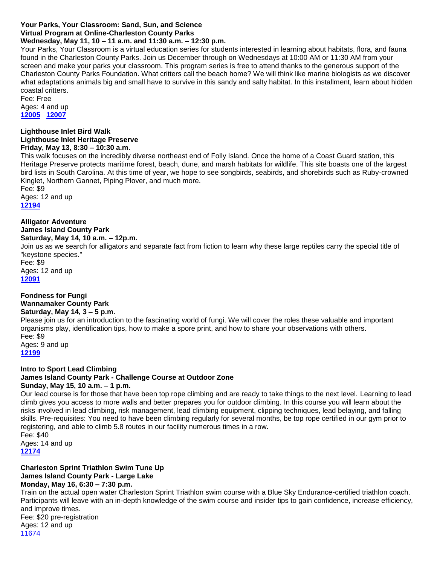# **Your Parks, Your Classroom: Sand, Sun, and Science**

# **Virtual Program at Online-Charleston County Parks**

**Wednesday, May 11, 10 – 11 a.m. and 11:30 a.m. – 12:30 p.m.**

Your Parks, Your Classroom is a virtual education series for students interested in learning about habitats, flora, and fauna found in the Charleston County Parks. Join us December through on Wednesdays at 10:00 AM or 11:30 AM from your screen and make your parks your classroom. This program series is free to attend thanks to the generous support of the Charleston County Parks Foundation. What critters call the beach home? We will think like marine biologists as we discover what adaptations animals big and small have to survive in this sandy and salty habitat. In this installment, learn about hidden coastal critters.

Fee: Free Ages: 4 and up **[12005](http://anprod.active.com/charlestoncountyparks/registrationmain.sdi?source=adet.sdi&activity_id=6977) [12007](http://anprod.active.com/charlestoncountyparks/registrationmain.sdi?source=adet.sdi&activity_id=6979)**

#### **Lighthouse Inlet Bird Walk Lighthouse Inlet Heritage Preserve Friday, May 13, 8:30 – 10:30 a.m.**

This walk focuses on the incredibly diverse northeast end of Folly Island. Once the home of a Coast Guard station, this Heritage Preserve protects maritime forest, beach, dune, and marsh habitats for wildlife. This site boasts one of the largest bird lists in South Carolina. At this time of year, we hope to see songbirds, seabirds, and shorebirds such as Ruby-crowned Kinglet, Northern Gannet, Piping Plover, and much more.

Fee: \$9 Ages: 12 and up **[12194](http://anprod.active.com/charlestoncountyparks/registrationmain.sdi?source=adet.sdi&activity_id=7166)**

**Alligator Adventure James Island County Park Saturday, May 14, 10 a.m. – 12p.m.**

Join us as we search for alligators and separate fact from fiction to learn why these large reptiles carry the special title of "keystone species."

Fee: \$9 Ages: 12 and up **[12091](http://anprod.active.com/charlestoncountyparks/registrationmain.sdi?source=adet.sdi&activity_id=7063)**

#### **Fondness for Fungi Wannamaker County Park Saturday, May 14, 3 – 5 p.m.**

Please join us for an introduction to the fascinating world of fungi. We will cover the roles these valuable and important organisms play, identification tips, how to make a spore print, and how to share your observations with others. Fee: \$9

Ages: 9 and up **[12199](http://anprod.active.com/charlestoncountyparks/registrationmain.sdi?source=adet.sdi&activity_id=7171)**

**Intro to Sport Lead Climbing James Island County Park - Challenge Course at Outdoor Zone Sunday, May 15, 10 a.m. – 1 p.m.**

#### Our lead course is for those that have been top rope climbing and are ready to take things to the next level. Learning to lead climb gives you access to more walls and better prepares you for outdoor climbing. In this course you will learn about the risks involved in lead climbing, risk management, lead climbing equipment, clipping techniques, lead belaying, and falling skills. Pre-requisites: You need to have been climbing regularly for several months, be top rope certified in our gym prior to registering, and able to climb 5.8 routes in our facility numerous times in a row. Fee: \$40

Ages: 14 and up **[12174](http://anprod.active.com/charlestoncountyparks/registrationmain.sdi?source=adet.sdi&activity_id=7146)**

#### **Charleston Sprint Triathlon Swim Tune Up James Island County Park - Large Lake Monday, May 16, 6:30 – 7:30 p.m.**

Train on the actual open water Charleston Sprint Triathlon swim course with a Blue Sky Endurance-certified triathlon coach. Participants will leave with an in-depth knowledge of the swim course and insider tips to gain confidence, increase efficiency, and improve times. Fee: \$20 pre-registration Ages: 12 and up [11674](http://anprod.active.com/charlestoncountyparks/registrationmain.sdi?source=adet.sdi&activity_id=6648)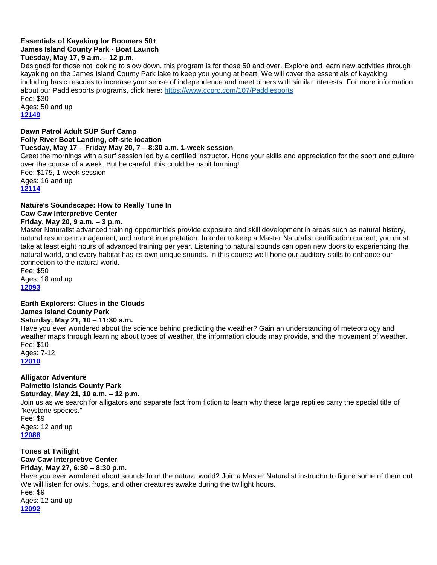### **Essentials of Kayaking for Boomers 50+ James Island County Park - Boat Launch Tuesday, May 17, 9 a.m. – 12 p.m.**

Designed for those not looking to slow down, this program is for those 50 and over. Explore and learn new activities through kayaking on the James Island County Park lake to keep you young at heart. We will cover the essentials of kayaking including basic rescues to increase your sense of independence and meet others with similar interests. For more information about our Paddlesports programs, click here:<https://www.ccprc.com/107/Paddlesports>

Fee: \$30 Ages: 50 and up **[12149](http://anprod.active.com/charlestoncountyparks/registrationmain.sdi?source=adet.sdi&activity_id=7121)**

### **Dawn Patrol Adult SUP Surf Camp Folly River Boat Landing, off-site location Tuesday, May 17 – Friday May 20, 7 – 8:30 a.m. 1-week session**

Greet the mornings with a surf session led by a certified instructor. Hone your skills and appreciation for the sport and culture over the course of a week. But be careful, this could be habit forming! Fee: \$175, 1-week session Ages: 16 and up **[12114](http://anprod.active.com/charlestoncountyparks/registrationmain.sdi?source=adet.sdi&activity_id=7086)**

## **Nature's Soundscape: How to Really Tune In Caw Caw Interpretive Center**

## **Friday, May 20, 9 a.m. – 3 p.m.**

Master Naturalist advanced training opportunities provide exposure and skill development in areas such as natural history, natural resource management, and nature interpretation. In order to keep a Master Naturalist certification current, you must take at least eight hours of advanced training per year. Listening to natural sounds can open new doors to experiencing the natural world, and every habitat has its own unique sounds. In this course we'll hone our auditory skills to enhance our connection to the natural world.

Fee: \$50 Ages: 18 and up **[12093](http://anprod.active.com/charlestoncountyparks/registrationmain.sdi?source=adet.sdi&activity_id=7065)**

## **Earth Explorers: Clues in the Clouds**

## **James Island County Park**

## **Saturday, May 21, 10 – 11:30 a.m.**

Have you ever wondered about the science behind predicting the weather? Gain an understanding of meteorology and weather maps through learning about types of weather, the information clouds may provide, and the movement of weather. Fee: \$10 Ages: 7-12

**[12010](http://anprod.active.com/charlestoncountyparks/registrationmain.sdi?source=adet.sdi&activity_id=6982)**

**Alligator Adventure Palmetto Islands County Park Saturday, May 21, 10 a.m. – 12 p.m.**  Join us as we search for alligators and separate fact from fiction to learn why these large reptiles carry the special title of "keystone species." Fee: \$9 Ages: 12 and up **[12088](http://anprod.active.com/charlestoncountyparks/registrationmain.sdi?source=adet.sdi&activity_id=7060)**

**Tones at Twilight Caw Caw Interpretive Center Friday, May 27, 6:30 – 8:30 p.m.** Have you ever wondered about sounds from the natural world? Join a Master Naturalist instructor to figure some of them out. We will listen for owls, frogs, and other creatures awake during the twilight hours. Fee: \$9 Ages: 12 and up **[12092](http://anprod.active.com/charlestoncountyparks/registrationmain.sdi?source=adet.sdi&activity_id=7064)**